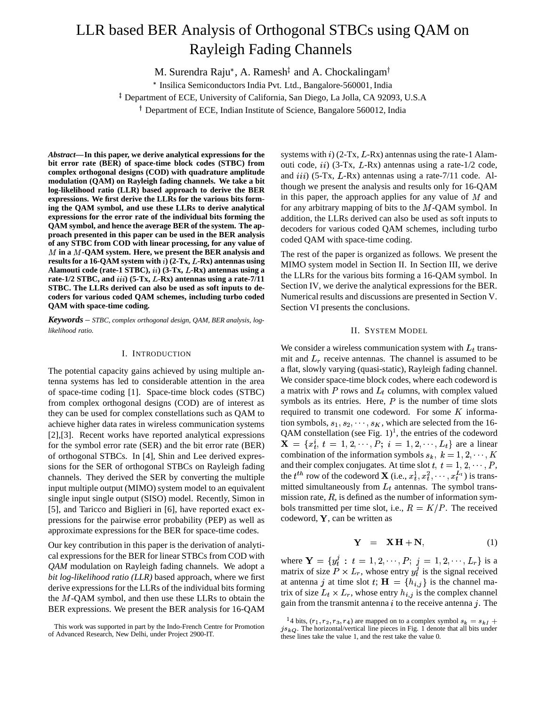# LLR based BER Analysis of Orthogonal STBCs using QAM on Rayleigh Fading Channels

M. Surendra Raju<sup>\*</sup>, A. Ramesh<sup>‡</sup> and A. Chockalingam

Insilica Semiconductors India Pvt. Ltd., Bangalore-560001, India

 $^\ddagger$  Department of ECE, University of California, San Diego, La Jolla, CA 92093, U.S.A

Department of ECE, Indian Institute of Science, Bangalore 560012, India

*Abstract***—In this paper, we derive analytical expressions for the bit error rate (BER) of space-time block codes (STBC) from complex orthogonal designs (COD) with quadrature amplitude modulation (QAM) on Rayleigh fading channels. We take a bit log-likelihood ratio (LLR) based approach to derive the BER expressions. We first derive the LLRs for the various bits forming the QAM symbol, and use these LLRs to derive analytical expressions for the error rate of the individual bits forming the QAM symbol, and hence the average BER of the system. The approach presented in this paper can be used in the BER analysis of any STBC from COD with linear processing, for any value of in a -QAM system. Here, we present the BER analysis and resultsfor a 16-QAM system with ) (2-Tx, -Rx) antennas using Alamouti code (rate-1 STBC), ) (3-Tx, -Rx) antennas using a**  $\text{rate-1/2}$  **STBC,** and  $\text{iii)}$  (5-Tx, L-Rx) antennas using a rate-7/11 **STBC. The LLRs derived can also be used as soft inputs to decoders for various coded QAM schemes, including turbo coded QAM with space-time coding.**

*Keywords* – *STBC, complex orthogonal design, QAM, BER analysis, loglikelihood ratio.*

# I. INTRODUCTION

The potential capacity gains achieved by using multiple antenna systems has led to considerable attention in the area of space-time coding [1]. Space-time block codes (STBC) from complex orthogonal designs (COD) are of interest as they can be used for complex constellations such as QAM to achieve higher data rates in wireless communication systems [2],[3]. Recent works have reported analytical expressions for the symbol error rate (SER) and the bit error rate (BER) of orthogonal STBCs. In [4], Shin and Lee derived expressions for the SER of orthogonal STBCs on Rayleigh fading channels. They derived the SER by converting the multiple input multiple output (MIMO) system model to an equivalent single input single output (SISO) model. Recently, Simon in [5], and Taricco and Biglieri in [6], have reported exact expressions for the pairwise error probability (PEP) as well as approximate expressions for the BER for space-time codes.

Our key contribution in this paper is the derivation of analytical expressionsfor the BER for linear STBCs from COD with *QAM* modulation on Rayleigh fading channels. We adopt a *bit log-likelihood ratio (LLR)* based approach, where we first derive expressions for the LLRs of the individual bits forming the  $M$ -QAM symbol, and then use these LLRs to obtain the BER expressions. We present the BER analysis for 16-QAM systems with  $i$ ) (2-Tx, L-Rx) antennas using the rate-1 Alamouti code,  $ii)$  (3-Tx, L-Rx) antennas using a rate-1/2 code, and  $iii)$  (5-Tx,  $L$ -Rx) antennas using a rate-7/11 code. Although we present the analysis and results only for 16-QAM in this paper, the approach applies for any value of  $M$  and for any arbitrary mapping of bits to the  $M$ -QAM symbol. In addition, the LLRs derived can also be used as soft inputs to decoders for various coded QAM schemes, including turbo coded QAM with space-time coding.

The rest of the paper is organized as follows. We present the MIMO system model in Section II. In Section III, we derive the LLRs for the various bits forming a 16-QAM symbol. In Section IV, we derive the analytical expressions for the BER. Numerical results and discussions are presented in Section V. Section VI presents the conclusions.

#### II. SYSTEM MODEL

We consider a wireless communication system with  $L_t$  transmit and  $L_r$  receive antennas. The channel is assumed to be a flat, slowly varying (quasi-static), Rayleigh fading channel. We consider space-time block codes, where each codeword is a matrix with  $P$  rows and  $L_t$  columns, with complex valued symbols as its entries. Here,  $P$  is the number of time slots required to transmit one codeword. For some  $K$  information symbols,  $s_1, s_2, \dots, s_K$ , which are selected from the 16-QAM constellation (see Fig.  $1$ )<sup>1</sup>, the entries of the codeword  $X = \{x_i^i, t = 1, 2, \dots, P; i = 1, 2, \dots, L_t\}$  are a linear combination of the information symbols  $s_k$ ,  $k = 1, 2, \dots, K$ and their complex conjugates. At time slot  $t, t = 1, 2, \dots, P$ , the  $t^{th}$  row of the codeword **X** (i.e.,  $x_t^1, x_t^2, \cdots, x_t^{L_t}$ ) is transmitted simultaneously from  $L_t$  antennas. The symbol transmission rate,  $R$ , is defined as the number of information symbols transmitted per time slot, i.e.,  $R = K/P$ . The received codeword,  $\mathbf{Y}$ , can be written as

$$
Y = XH + N, \tag{1}
$$

where  $Y = \{y_t^j : t = 1, 2, \dots, P; j = 1, 2, \dots, L_r\}$  is a matrix of size  $P \times L_r$ , whose entry  $y_t^j$  is the signal received at antenna j at time slot  $t$ ;  $H = \{h_{i,j}\}\$ is the channel matrix of size  $L_t \times L_r$ , whose entry  $h_{i,j}$  is the complex channel gain from the transmit antenna  $i$  to the receive antenna  $j$ . The

This work was supported in part by the Indo-French Centre for Promotion of Advanced Research, New Delhi, under Project 2900-IT.

<sup>&</sup>lt;sup>1</sup>4 bits,  $(r_1, r_2, r_3, r_4)$  are mapped on to a complex symbol  $s_k = s_{kI} +$  $j s_{kQ}$ . The horizontal/vertical line pieces in Fig. 1 denote that all bits under these lines take the value 1, and the rest take the value 0.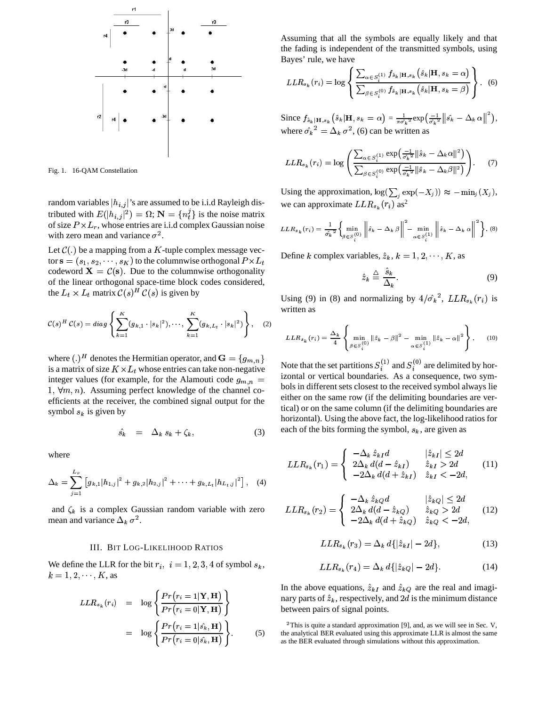

Fig. 1. 16-QAM Constellation

random variables  $|h_{i,j}|$ 's are assumed to be i.i.d Rayleigh distributed with  $E(|h_{i,j}|^2) = \Omega$ ;  $N = {n_t^j}$  is the noise matrix of size  $P \times L_r$ , whose entries are i.i.d complex Gaussian noise with zero mean and variance  $\sigma^2$ .

Let  $\mathcal{C}(.)$  be a mapping from a K-tuple complex message vector  $\mathbf{s} = (s_1, s_2, \dots, s_K)$  to the columnwise orthogonal  $P \times L_t$ codeword  $X = \mathcal{C}(s)$ . Due to the columnwise orthogonality of the linear orthogonal space-time block codes considered, the  $L_t \times L_t$  matrix  $\mathcal{C}(s)^H \mathcal{C}(s)$  is given by

$$
C(s)^H C(s) = diag \left\{ \sum_{k=1}^K (g_{k,1} \cdot |s_k|^2), \cdots, \sum_{k=1}^K (g_{k,L_t} \cdot |s_k|^2) \right\}, \quad (2)
$$

where  $(.)^H$  denotes the Hermitian operator, and  $\mathbf{G} = \{g_{m,n}\}\$ is a matrix of size  $K \times L_t$  whose entries can take non-negative integer values (for example, for the Alamouti code  $g_{m,n}$  = 1,  $\forall m, n$ ). Assuming perfect knowledge of the channel coefficients at the receiver, the combined signal output for the symbol  $s_k$  is given by

$$
\hat{s_k} = \Delta_k s_k + \zeta_k, \tag{3}
$$

where

$$
\Delta_k = \sum_{j=1}^{L_r} \left[ g_{k,1} |h_{1,j}|^2 + g_{k,2} |h_{2,j}|^2 + \cdots + g_{k,L_t} |h_{L_t,j}|^2 \right], \quad (4)
$$

and  $\zeta_k$  is a complex Gaussian random variable with zero mean and variance  $\Delta_k \sigma^2$ .

#### **III. BIT LOG-LIKELIHOOD RATIOS**

We define the LLR for the bit  $r_i$ ,  $i = 1, 2, 3, 4$  of symbol  $s_k$ ,  $k = 1, 2, \dots, K$ , as

$$
LLR_{s_k}(r_i) = \log \left\{ \frac{Pr(r_i = 1 | \mathbf{Y}, \mathbf{H})}{Pr(r_i = 0 | \mathbf{Y}, \mathbf{H})} \right\}
$$

$$
= \log \left\{ \frac{Pr(r_i = 1 | \hat{s_k}, \mathbf{H})}{Pr(r_i = 0 | \hat{s_k}, \mathbf{H})} \right\}.
$$
(5)

Assuming that all the symbols are equally likely and that the fading is independent of the transmitted symbols, using Bayes' rule, we have

$$
LLR_{s_k}(r_i) = \log \left\{ \frac{\sum_{\alpha \in S_i^{(1)}} f_{\hat{s}_k | \mathbf{H}, s_k}(\hat{s}_k | \mathbf{H}, s_k = \alpha)}{\sum_{\beta \in S_i^{(0)}} f_{\hat{s}_k | \mathbf{H}, s_k}(\hat{s}_k | \mathbf{H}, s_k = \beta)} \right\}.
$$
 (6)

Since  $f_{\hat{s}_k|\mathbf{H},s_k}(\hat{s}_k|\mathbf{H},s_k = \alpha) = \frac{1}{\pi \hat{\sigma}_k^2} \exp\left(\frac{-1}{\hat{\sigma}_k^2} \left\| \hat{s}_k - \Delta_k \alpha \right\|^2\right),$ where  $\hat{\sigma_k}^2 = \Delta_k \sigma^2$ , (6) can be written as

$$
LLR_{s_k}(r_i) = \log \left( \frac{\sum_{\alpha \in S_i^{(1)}} \exp\left(\frac{-1}{\sigma_k^2} \|\hat{s}_k - \Delta_k \alpha\|^2\right)}{\sum_{\beta \in S_i^{(0)}} \exp\left(\frac{-1}{\sigma_k^2} \|\hat{s}_k - \Delta_k \beta\|^2\right)} \right). \tag{7}
$$

Using the approximation,  $\log(\sum_j \exp(-X_j)) \approx -\min_j (X_j)$ , we can approximate  $LLR_{s_k}(r_i)$  as<sup>2</sup>

$$
LLR_{s_k}(r_i) = \frac{1}{\hat{\sigma_k}^2} \left\{ \min_{\beta \in S_i^{(0)}} \left\| \hat{s}_k - \Delta_k \beta \right\|^2 - \min_{\alpha \in S_i^{(1)}} \left\| \hat{s}_k - \Delta_k \alpha \right\|^2 \right\}.
$$
 (8)

Define k complex variables,  $\hat{z}_k$ ,  $k = 1, 2, \dots, K$ , as

$$
\hat{z}_k \stackrel{\triangle}{=} \frac{\hat{s}_k}{\Delta_k}.\tag{9}
$$

Using (9) in (8) and normalizing by  $4/\hat{\sigma_k}^2$ ,  $LLR_{s_k}(r_i)$  is written as

$$
LLR_{s_k}(r_i) = \frac{\Delta_k}{4} \left\{ \min_{\beta \in S_i^{(0)}} ||\hat{z}_k - \beta||^2 - \min_{\alpha \in S_i^{(1)}} ||\hat{z}_k - \alpha||^2 \right\}.
$$
 (10)

Note that the set partitions  $S_i^{(1)}$  and  $S_i^{(0)}$  are delimited by horizontal or vertical boundaries. As a consequence, two symbols in different sets closest to the received symbol always lie either on the same row (if the delimiting boundaries are vertical) or on the same column (if the delimiting boundaries are horizontal). Using the above fact, the log-likelihood ratios for each of the bits forming the symbol,  $s_k$ , are given as

$$
LLR_{s_k}(r_1) = \begin{cases} -\Delta_k \hat{z}_{kI}d & |\hat{z}_{kI}| \leq 2d\\ 2\Delta_k d(d - \hat{z}_{kI}) & \hat{z}_{kI} > 2d\\ -2\Delta_k d(d + \hat{z}_{kI}) & \hat{z}_{kI} < -2d, \end{cases}
$$
(11)

$$
LLR_{s_k}(r_2) = \begin{cases} -\Delta_k \hat{z}_{kQ}d & |\hat{z}_{kQ}| \le 2d\\ 2\Delta_k d(d - \hat{z}_{kQ}) & \hat{z}_{kQ} > 2d\\ -2\Delta_k d(d + \hat{z}_{kQ}) & \hat{z}_{kQ} < -2d, \end{cases}
$$
(12)

$$
LLR_{s_k}(r_3) = \Delta_k d\{|\hat{z}_{kI}| - 2d\},\tag{13}
$$

$$
LLR_{s_k}(r_4) = \Delta_k d\{|\hat{z}_{kQ}| - 2d\}.
$$
 (14)

In the above equations,  $\hat{z}_{kI}$  and  $\hat{z}_{kQ}$  are the real and imaginary parts of  $\hat{z}_k$ , respectively, and 2d is the minimum distance between pairs of signal points.

 $2$ This is quite a standard approximation [9], and, as we will see in Sec. V, the analytical BER evaluated using this approximate LLR is almost the same as the BER evaluated through simulations without this approximation.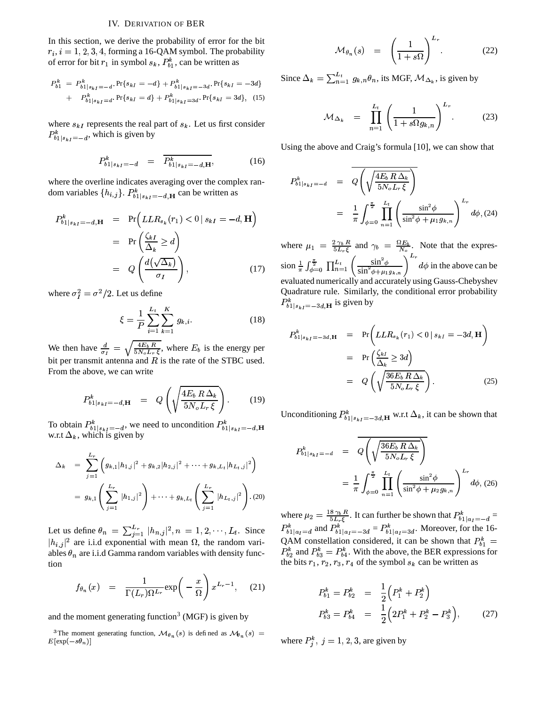## **IV. DERIVATION OF BER**

In this section, we derive the probability of error for the bit  $r_i$ ,  $i = 1, 2, 3, 4$ , forming a 16-QAM symbol. The probability of error for bit  $r_1$  in symbol  $s_k$ ,  $P_{b1}^k$ , can be written as

$$
P_{b1}^{k} = P_{b1|s_{kI}=-d}^{k}.
$$
 Pr{ $s_{kI} = -d$ } +  $P_{b1|s_{kI}=-3d}^{k}$ . Pr{ $s_{kI} = -3d$ }  
+  $P_{b1|s_{kI}=d}^{k}$ . Pr{ $s_{kI} = d$ } +  $P_{b1|s_{kI}=3d}^{k}$ . Pr{ $s_{kI} = 3d$ }, (15)

where  $s_{kl}$  represents the real part of  $s_k$ . Let us first consider  $P_{b1|s_{kI}=-d}^{k}$ , which is given by

$$
P_{b1|s_{kI}=-d}^k = \overline{P_{b1|s_{kI}=-d,H}^k},
$$
 (16)

where the overline indicates averaging over the complex random variables  $\{h_{i,j}\}\$ .  $P_{b_1|s_{k,l}=-d,H}^k$  can be written as

$$
P_{b1|s_{kI}=-d,H}^{k} = \Pr\left(LLR_{s_k}(r_1) < 0 \, | \, s_{kI} = -d, \mathbf{H}\right)
$$
\n
$$
= \Pr\left(\frac{\zeta_{kI}}{\Delta_k} \geq d\right)
$$
\n
$$
= Q\left(\frac{d(\sqrt{\Delta_k})}{\sigma_I}\right), \tag{17}
$$

where  $\sigma_I^2 = \sigma^2/2$ . Let us define

$$
\xi = \frac{1}{P} \sum_{i=1}^{L_t} \sum_{k=1}^{K} g_{k,i}.
$$
 (18)

We then have  $\frac{d}{\sigma_I} = \sqrt{\frac{4E_b R}{5N_o L_r \xi}}$ , where  $E_b$  is the energy per bit per transmit antenna and  $R$  is the rate of the STBC used. From the above, we can write

$$
P_{b1|s_{kI}=-d,\mathbf{H}}^{k} = Q\left(\sqrt{\frac{4E_b R \Delta_k}{5N_o L_r \xi}}\right).
$$
 (19)

To obtain  $P_{b1|s_{kI}=-d}^k$ , we need to uncondition  $P_{b1|s_{kI}=-d,\mathbf{H}}^k$  w.r.t  $\Delta_k$ , which is given by

$$
\Delta_k = \sum_{j=1}^{L_r} \left( g_{k,1} |h_{1,j}|^2 + g_{k,2} |h_{2,j}|^2 + \dots + g_{k,L_t} |h_{L_t,j}|^2 \right)
$$
  
=  $g_{k,1} \left( \sum_{j=1}^{L_r} |h_{1,j}|^2 \right) + \dots + g_{k,L_t} \left( \sum_{j=1}^{L_r} |h_{L_t,j}|^2 \right)$ . (20)

Let us define  $\theta_n = \sum_{j=1}^{L_r} |h_{n,j}|^2$ ,  $n = 1, 2, \dots, L_t$ . Since  $|h_{i,j}|^2$  are i.i.d exponential with mean  $\Omega$ , the random variables  $\theta_n$  are i.i.d Gamma random variables with density function

$$
f_{\theta_n}(x) = \frac{1}{\Gamma(L_r)\Omega^{L_r}} \exp\bigg(-\frac{x}{\Omega}\bigg) x^{L_r - 1}, \quad (21)
$$

and the moment generating function<sup>3</sup> (MGF) is given by

<sup>3</sup>The moment generating function,  $\mathcal{M}_{\theta_n}(s)$  is defined as  $\mathcal{M}_{\theta_n}(s)$  =  $E[\exp(-s\theta_n)]$ 

$$
\mathcal{M}_{\theta_n}(s) = \left(\frac{1}{1+s\Omega}\right)^{L_r}.\tag{22}
$$

Since  $\Delta_k = \sum_{n=1}^{L_t} g_{k,n} \theta_n$ , its MGF,  $\mathcal{M}_{\Delta_k}$ , is given by

$$
\mathcal{M}_{\Delta_k} = \prod_{n=1}^{L_t} \left( \frac{1}{1 + s \Omega g_{k,n}} \right)^{L_r} . \tag{23}
$$

Using the above and Craig's formula [10], we can show that

$$
P_{b1|s_{k}r}^{k} = -d = Q\left(\sqrt{\frac{4E_b R \Delta_k}{5N_o L_r \xi}}\right)
$$
  
=  $\frac{1}{\pi} \int_{\phi=0}^{\frac{\pi}{2}} \prod_{n=1}^{L_t} \left(\frac{\sin^2 \phi}{\sin^2 \phi + \mu_1 g_{k,n}}\right)^{L_r} d\phi$ , (24)

where  $\mu_1 = \frac{2\gamma_b R}{5L_r \xi}$  and  $\gamma_b = \frac{\Omega E_b}{N_o}$ . Note that the expres-<br>sion  $\frac{1}{\pi} \int_{\phi=0}^{\frac{\pi}{2}} \prod_{n=1}^{L_t} \left( \frac{\sin^2 \phi}{\sin^2 \phi + \mu_1 g_{k,n}} \right)^{L_r} d\phi$  in the above can be evaluated numerically and accurately using Gauss-Chebyshev Quadrature rule. Similarly, the conditional error probability  $P_{b1|s_{kI}=-3d,H}^{k}$  is given by

$$
P_{b1|s_{kI}=-3d,\mathbf{H}}^{k} = \Pr\left(LLR_{s_k}(r_1) < 0 \,|\, s_{kI}=-3d, \mathbf{H}\right)
$$
\n
$$
= \Pr\left(\frac{\zeta_{kI}}{\Delta_k} \geq 3d\right)
$$
\n
$$
= Q\left(\sqrt{\frac{36E_b\,R\,\Delta_k}{5N_oL_r\,\xi}}\right). \tag{25}
$$

Unconditioning  $P_{b_1|s_{kI}=-3d,H}^k$  w.r.t  $\Delta_k$ , it can be shown that

$$
P_{b1|s_{kI}=-d}^{k} = Q\left(\sqrt{\frac{36E_b R \Delta_k}{5N_o L_r \xi}}\right)
$$
  
=  $\frac{1}{\pi} \int_{\phi=0}^{\frac{\pi}{2}} \prod_{n=1}^{L_t} \left(\frac{\sin^2 \phi}{\sin^2 \phi + \mu_2 g_{k,n}}\right)^{L_r} d\phi$ , (26)

where  $\mu_2 = \frac{18 \gamma_b R}{5 L_r \xi}$  . It can further be shown that  $P_{b1|a_I=-d}^k =$  $P_{b1|a_I=d}^k$  and  $P_{b1|a_I=-3d}^k = P_{b1|a_I=3d}^k$ . Moreover, for the 16-QAM constellation considered, it can be shown that  $P_{b1}^{k}$  =  $P_{b2}^k$  and  $P_{b3}^k = P_{b4}^k$ . With the above, the BER expressions for the bits  $r_1$ ,  $r_2$ ,  $r_3$ ,  $r_4$  of the symbol  $s_k$  can be written as

$$
P_{b1}^{k} = P_{b2}^{k} = \frac{1}{2} \left( P_{1}^{k} + P_{2}^{k} \right)
$$
  
\n
$$
P_{b3}^{k} = P_{b4}^{k} = \frac{1}{2} \left( 2P_{1}^{k} + P_{2}^{k} - P_{3}^{k} \right), \qquad (27)
$$

where  $P_i^k$ ,  $j = 1, 2, 3$ , are given by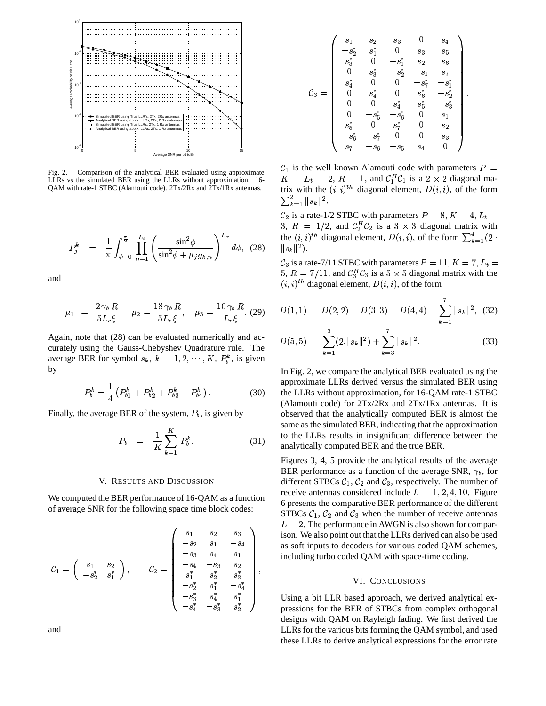

Comparison of the analytical BER evaluated using approximate  $Fig. 2.$ LLRs vs the simulated BER using the LLRs without approximation. 16-QAM with rate-1 STBC (Alamouti code). 2Tx/2Rx and 2Tx/1Rx antennas.

$$
P_j^k = \frac{1}{\pi} \int_{\phi=0}^{\frac{\pi}{2}} \prod_{n=1}^{L_t} \left( \frac{\sin^2 \phi}{\sin^2 \phi + \mu_j g_{k,n}} \right)^{L_r} d\phi, \quad (28)
$$

and

$$
\mu_1 = \frac{2 \gamma_b R}{5L_r \xi}, \quad \mu_2 = \frac{18 \gamma_b R}{5L_r \xi}, \quad \mu_3 = \frac{10 \gamma_b R}{L_r \xi}. (29)
$$

Again, note that (28) can be evaluated numerically and accurately using the Gauss-Chebyshev Quadrature rule. The average BER for symbol  $s_k$ ,  $k = 1, 2, \dots, K$ ,  $P_k^k$ , is given by

$$
P_b^k = \frac{1}{4} \left( P_{b1}^k + P_{b2}^k + P_{b3}^k + P_{b4}^k \right). \tag{30}
$$

Finally, the average BER of the system,  $P_b$ , is given by

$$
P_b = \frac{1}{K} \sum_{k=1}^{K} P_b^k.
$$
 (31)

## V. RESULTS AND DISCUSSION

We computed the BER performance of 16-QAM as a function of average SNR for the following space time block codes:

$$
\mathcal{C}_1 = \left(\begin{array}{ccc} s_1 & s_2 & s_3 \\ -s_2 & s_1 & -s_4 \\ -s_3 & s_4 & s_1 \\ -s_2^* & s_1^* \end{array}\right), \qquad \mathcal{C}_2 = \left(\begin{array}{ccc} s_1 & s_2 & s_3 \\ -s_2 & s_1 & -s_4 \\ -s_3 & s_4 & s_1 \\ s_1^* & s_2^* & s_3^* \\ -s_2^* & s_1^* & -s_4^* \\ -s_3^* & s_4^* & s_1^* \\ -s_4^* & -s_3^* & s_2^* \end{array}\right),
$$

and

$$
\mathcal{C}_3 = \left(\begin{array}{ccccc} s_1 & s_2 & s_3 & 0 & s_4 \\ -s_2^* & s_1^* & 0 & s_3 & s_5 \\ s_3^* & 0 & -s_1^* & s_2 & s_6 \\ 0 & s_3^* & -s_2^* & -s_1 & s_7 \\ s_4^* & 0 & 0 & -s_7^* & -s_1^* \\ 0 & s_4^* & 0 & s_6^* & -s_2^* \\ 0 & 0 & s_4^* & s_5^* & -s_3^* \\ 0 & -s_5^* & -s_6^* & 0 & s_1 \\ s_5^* & 0 & s_7^* & 0 & s_2 \\ -s_6^* & -s_7^* & 0 & 0 & s_3 \\ s_7 & -s_6 & -s_5 & s_4 & 0 \end{array}\right)
$$

 $\mathcal{C}_1$  is the well known Alamouti code with parameters  $P =$  $K = L_t = 2$ ,  $R = 1$ , and  $C_1^H C_1$  is a 2 x 2 diagonal matrix with the  $(i, i)^{th}$  diagonal element,  $D(i, i)$ , of the form  $\sum_{k=1}^{2} ||s_k||^2$ .

 $C_2$  is a rate-1/2 STBC with parameters  $P = 8, K = 4, L_t =$ 3,  $R = 1/2$ , and  $C_2^H C_2$  is a 3 × 3 diagonal matrix with the  $(i, i)^{th}$  diagonal element,  $D(i, i)$ , of the form  $\sum_{k=1}^{4} (2 \cdot$  $||s_k||^2$ .

 $C_3$  is a rate-7/11 STBC with parameters  $P = 11, K = 7, L_t =$ 5,  $R = 7/11$ , and  $C_3^H C_3$  is a 5 × 5 diagonal matrix with the  $(i, i)$ <sup>th</sup> diagonal element,  $D(i, i)$ , of the form

$$
D(1,1) = D(2,2) = D(3,3) = D(4,4) = \sum_{k=1}^{7} ||s_k||^2, (32)
$$

$$
D(5,5) = \sum_{k=1}^{3} (2.||s_k||^2) + \sum_{k=3}^{7} ||s_k||^2.
$$
 (33)

In Fig. 2, we compare the analytical BER evaluated using the approximate LLRs derived versus the simulated BER using the LLRs without approximation, for 16-QAM rate-1 STBC (Alamouti code) for  $2Tx/2Rx$  and  $2Tx/1Rx$  antennas. It is observed that the analytically computed BER is almost the same as the simulated BER, indicating that the approximation to the LLRs results in insignificant difference between the analytically computed BER and the true BER.

Figures 3, 4, 5 provide the analytical results of the average BER performance as a function of the average SNR,  $\gamma_b$ , for different STBCs  $C_1$ ,  $C_2$  and  $C_3$ , respectively. The number of receive antennas considered include  $L = 1, 2, 4, 10$ . Figure 6 presents the comparative BER performance of the different STBCs  $C_1$ ,  $C_2$  and  $C_3$  when the number of receive antennas  $L = 2$ . The performance in AWGN is also shown for comparison. We also point out that the LLRs derived can also be used as soft inputs to decoders for various coded QAM schemes, including turbo coded QAM with space-time coding.

### VI. CONCLUSIONS

Using a bit LLR based approach, we derived analytical expressions for the BER of STBCs from complex orthogonal designs with QAM on Rayleigh fading. We first derived the LLRs for the various bits forming the QAM symbol, and used these LLRs to derive analytical expressions for the error rate